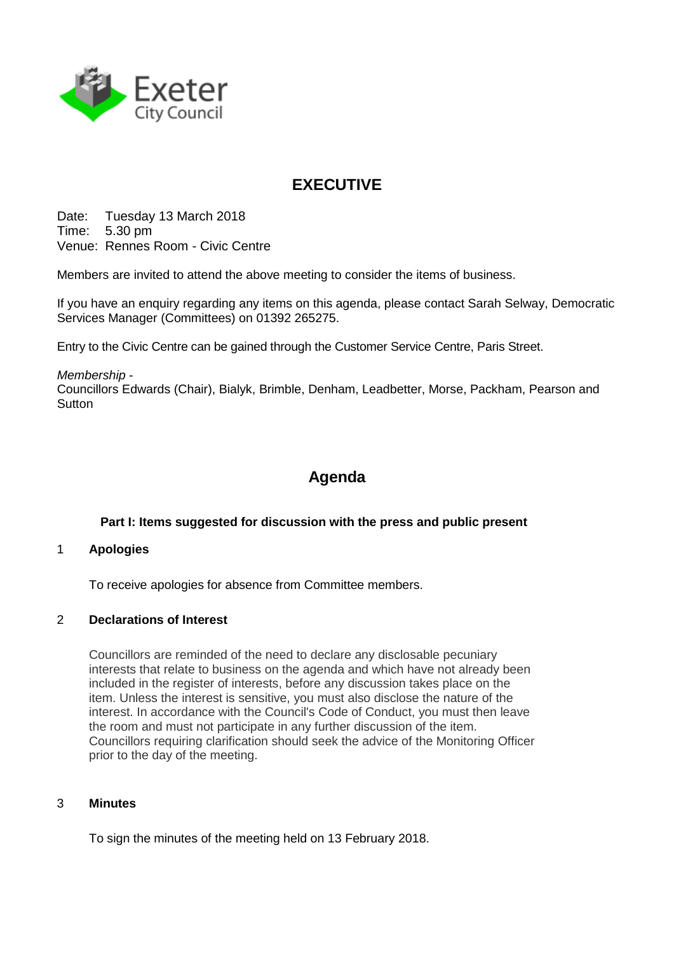

# **EXECUTIVE**

Date: Tuesday 13 March 2018 Time: 5.30 pm Venue: Rennes Room - Civic Centre

Members are invited to attend the above meeting to consider the items of business.

If you have an enquiry regarding any items on this agenda, please contact Sarah Selway, Democratic Services Manager (Committees) on 01392 265275.

Entry to the Civic Centre can be gained through the Customer Service Centre, Paris Street.

*Membership* -

Councillors Edwards (Chair), Bialyk, Brimble, Denham, Leadbetter, Morse, Packham, Pearson and **Sutton** 

## **Agenda**

## **Part I: Items suggested for discussion with the press and public present**

## 1 **Apologies**

To receive apologies for absence from Committee members.

## 2 **Declarations of Interest**

Councillors are reminded of the need to declare any disclosable pecuniary interests that relate to business on the agenda and which have not already been included in the register of interests, before any discussion takes place on the item. Unless the interest is sensitive, you must also disclose the nature of the interest. In accordance with the Council's Code of Conduct, you must then leave the room and must not participate in any further discussion of the item. Councillors requiring clarification should seek the advice of the Monitoring Officer prior to the day of the meeting.

## 3 **Minutes**

To sign the minutes of the meeting held on 13 February 2018.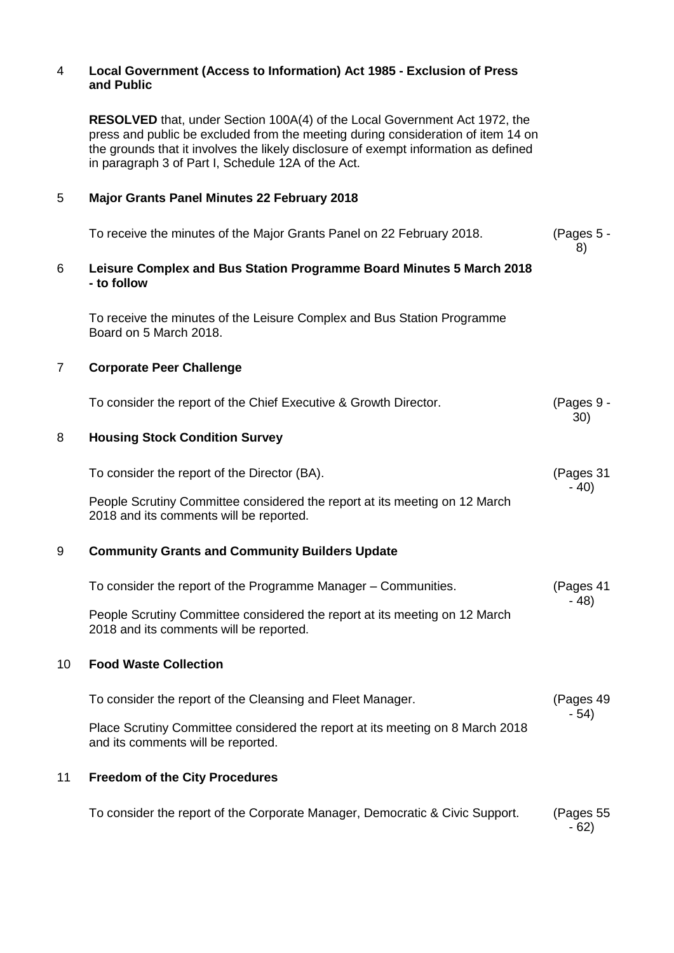### 4 **Local Government (Access to Information) Act 1985 - Exclusion of Press and Public**

**RESOLVED** that, under Section 100A(4) of the Local Government Act 1972, the press and public be excluded from the meeting during consideration of item 14 on the grounds that it involves the likely disclosure of exempt information as defined in paragraph 3 of Part I, Schedule 12A of the Act.

### 5 **Major Grants Panel Minutes 22 February 2018**

| To receive the minutes of the Major Grants Panel on 22 February 2018.               | (Pages $5 -$ |
|-------------------------------------------------------------------------------------|--------------|
| Leisure Complex and Bus Station Programme Board Minutes 5 March 2018<br>- to follow |              |

To receive the minutes of the Leisure Complex and Bus Station Programme Board on 5 March 2018.

## 7 **Corporate Peer Challenge**

|    | To consider the report of the Chief Executive & Growth Director.                                                      | (Pages 9 -<br>30)   |
|----|-----------------------------------------------------------------------------------------------------------------------|---------------------|
| 8  | <b>Housing Stock Condition Survey</b>                                                                                 |                     |
|    | To consider the report of the Director (BA).                                                                          | (Pages 31<br>$-40)$ |
|    | People Scrutiny Committee considered the report at its meeting on 12 March<br>2018 and its comments will be reported. |                     |
| 9  | <b>Community Grants and Community Builders Update</b>                                                                 |                     |
|    | To consider the report of the Programme Manager – Communities.                                                        | (Pages 41<br>$-48)$ |
|    | People Scrutiny Committee considered the report at its meeting on 12 March<br>2018 and its comments will be reported. |                     |
| 10 | <b>Food Waste Collection</b>                                                                                          |                     |
|    | To consider the report of the Cleansing and Fleet Manager.                                                            | (Pages 49<br>$-54)$ |
|    | Place Scrutiny Committee considered the report at its meeting on 8 March 2018<br>and its comments will be reported.   |                     |
| 11 | <b>Freedom of the City Procedures</b>                                                                                 |                     |
|    | To consider the report of the Corporate Manager, Democratic & Civic Support.                                          | (Pages 55<br>$-62)$ |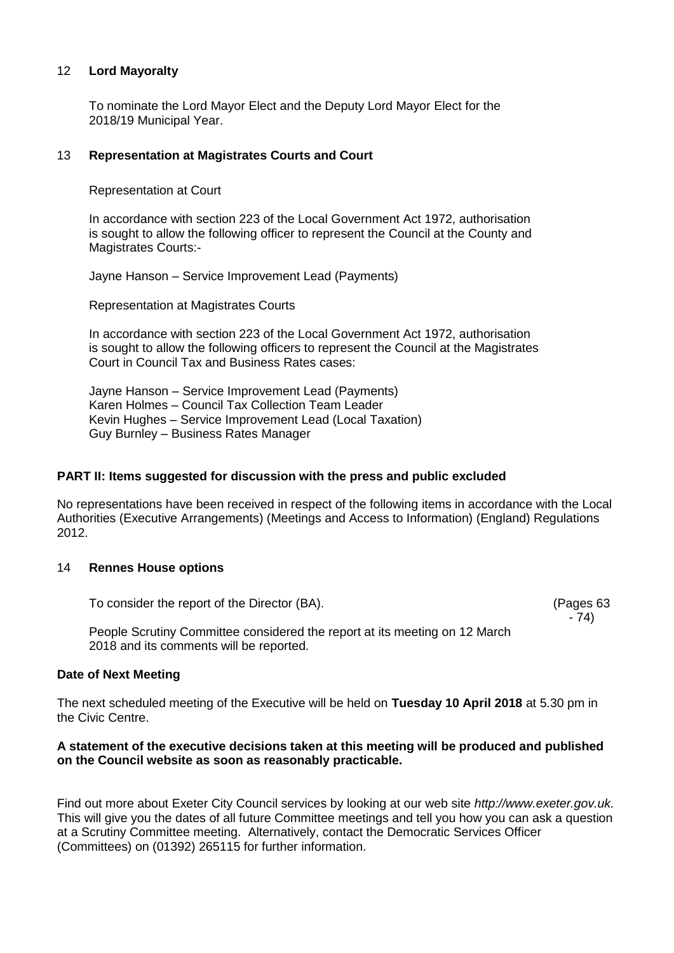#### 12 **Lord Mayoralty**

To nominate the Lord Mayor Elect and the Deputy Lord Mayor Elect for the 2018/19 Municipal Year.

#### 13 **Representation at Magistrates Courts and Court**

Representation at Court

In accordance with section 223 of the Local Government Act 1972, authorisation is sought to allow the following officer to represent the Council at the County and Magistrates Courts:-

Jayne Hanson – Service Improvement Lead (Payments)

Representation at Magistrates Courts

In accordance with section 223 of the Local Government Act 1972, authorisation is sought to allow the following officers to represent the Council at the Magistrates Court in Council Tax and Business Rates cases:

Jayne Hanson – Service Improvement Lead (Payments) Karen Holmes – Council Tax Collection Team Leader Kevin Hughes – Service Improvement Lead (Local Taxation) Guy Burnley – Business Rates Manager

#### **PART II: Items suggested for discussion with the press and public excluded**

No representations have been received in respect of the following items in accordance with the Local Authorities (Executive Arrangements) (Meetings and Access to Information) (England) Regulations 2012.

#### 14 **Rennes House options**

To consider the report of the Director (BA).

(Pages 63 - 74)

People Scrutiny Committee considered the report at its meeting on 12 March 2018 and its comments will be reported.

#### **Date of Next Meeting**

The next scheduled meeting of the Executive will be held on **Tuesday 10 April 2018** at 5.30 pm in the Civic Centre.

#### **A statement of the executive decisions taken at this meeting will be produced and published on the Council website as soon as reasonably practicable.**

Find out more about Exeter City Council services by looking at our web site *http://www.exeter.gov.uk.* This will give you the dates of all future Committee meetings and tell you how you can ask a question at a Scrutiny Committee meeting. Alternatively, contact the Democratic Services Officer (Committees) on (01392) 265115 for further information.